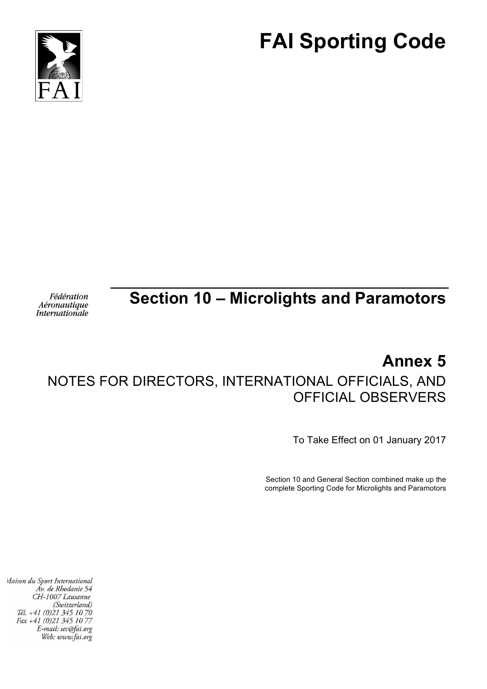



#### Fédération Aéronautique **Internationale**

## **Section 10 – Microlights and Paramotors**

# **Annex 5**

### NOTES FOR DIRECTORS, INTERNATIONAL OFFICIALS, AND OFFICIAL OBSERVERS

To Take Effect on 01 January 2017

Section 10 and General Section combined make up the complete Sporting Code for Microlights and Paramotors

Maison du Sport International Áv. de Rhodanie 54 CH-1007 Lausanne (Switzerland) Tél. +41 (0)21 345 10 70 Fax +41 (0)21 345 10 77 E-mail: sec@fai.org Web: www.fai.org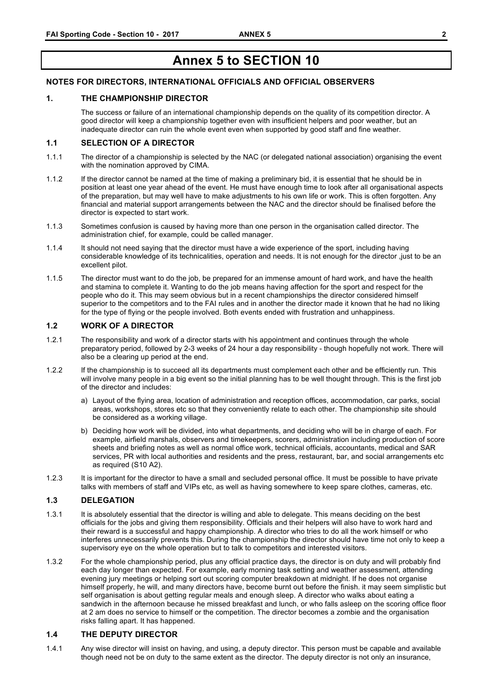### **Annex 5 to SECTION 10**

#### **NOTES FOR DIRECTORS, INTERNATIONAL OFFICIALS AND OFFICIAL OBSERVERS**

#### **1. THE CHAMPIONSHIP DIRECTOR**

The success or failure of an international championship depends on the quality of its competition director. A good director will keep a championship together even with insufficient helpers and poor weather, but an inadequate director can ruin the whole event even when supported by good staff and fine weather.

#### **1.1 SELECTION OF A DIRECTOR**

- 1.1.1 The director of a championship is selected by the NAC (or delegated national association) organising the event with the nomination approved by CIMA.
- 1.1.2 If the director cannot be named at the time of making a preliminary bid, it is essential that he should be in position at least one year ahead of the event. He must have enough time to look after all organisational aspects of the preparation, but may well have to make adjustments to his own life or work. This is often forgotten. Any financial and material support arrangements between the NAC and the director should be finalised before the director is expected to start work.
- 1.1.3 Sometimes confusion is caused by having more than one person in the organisation called director. The administration chief, for example, could be called manager.
- 1.1.4 It should not need saying that the director must have a wide experience of the sport, including having considerable knowledge of its technicalities, operation and needs. It is not enough for the director ,just to be an excellent pilot.
- 1.1.5 The director must want to do the job, be prepared for an immense amount of hard work, and have the health and stamina to complete it. Wanting to do the job means having affection for the sport and respect for the people who do it. This may seem obvious but in a recent championships the director considered himself superior to the competitors and to the FAI rules and in another the director made it known that he had no liking for the type of flying or the people involved. Both events ended with frustration and unhappiness.

#### **1.2 WORK OF A DIRECTOR**

- 1.2.1 The responsibility and work of a director starts with his appointment and continues through the whole preparatory period, followed by 2-3 weeks of 24 hour a day responsibility - though hopefully not work. There will also be a clearing up period at the end.
- 1.2.2 If the championship is to succeed all its departments must complement each other and be efficiently run. This will involve many people in a big event so the initial planning has to be well thought through. This is the first job of the director and includes:
	- a) Layout of the flying area, location of administration and reception offices, accommodation, car parks, social areas, workshops, stores etc so that they conveniently relate to each other. The championship site should be considered as a working village.
	- b) Deciding how work will be divided, into what departments, and deciding who will be in charge of each. For example, airfield marshals, observers and timekeepers, scorers, administration including production of score sheets and briefing notes as well as normal office work, technical officials, accountants, medical and SAR services, PR with local authorities and residents and the press, restaurant, bar, and social arrangements etc as required (S10 A2).
- 1.2.3 It is important for the director to have a small and secluded personal office. It must be possible to have private talks with members of staff and VIPs etc, as well as having somewhere to keep spare clothes, cameras, etc.

#### **1.3 DELEGATION**

- 1.3.1 It is absolutely essential that the director is willing and able to delegate. This means deciding on the best officials for the jobs and giving them responsibility. Officials and their helpers will also have to work hard and their reward is a successful and happy championship. A director who tries to do all the work himself or who interferes unnecessarily prevents this. During the championship the director should have time not only to keep a supervisory eye on the whole operation but to talk to competitors and interested visitors.
- 1.3.2 For the whole championship period, plus any official practice days, the director is on duty and will probably find each day longer than expected. For example, early morning task setting and weather assessment, attending evening jury meetings or helping sort out scoring computer breakdown at midnight. If he does not organise himself properly, he will, and many directors have, become burnt out before the finish. it may seem simplistic but self organisation is about getting regular meals and enough sleep. A director who walks about eating a sandwich in the afternoon because he missed breakfast and lunch, or who falls asleep on the scoring office floor at 2 am does no service to himself or the competition. The director becomes a zombie and the organisation risks falling apart. It has happened.

### **1.4 THE DEPUTY DIRECTOR**

1.4.1 Any wise director will insist on having, and using, a deputy director. This person must be capable and available though need not be on duty to the same extent as the director. The deputy director is not only an insurance,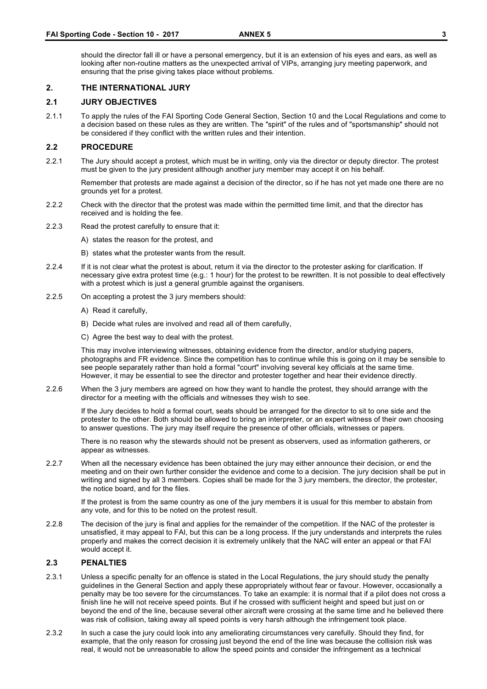should the director fall ill or have a personal emergency, but it is an extension of his eyes and ears, as well as looking after non-routine matters as the unexpected arrival of VIPs, arranging jury meeting paperwork, and ensuring that the prise giving takes place without problems.

#### **2. THE INTERNATIONAL JURY**

#### **2.1 JURY OBJECTIVES**

2.1.1 To apply the rules of the FAI Sporting Code General Section, Section 10 and the Local Regulations and come to a decision based on these rules as they are written. The "spirit" of the rules and of "sportsmanship" should not be considered if they conflict with the written rules and their intention.

#### **2.2 PROCEDURE**

2.2.1 The Jury should accept a protest, which must be in writing, only via the director or deputy director. The protest must be given to the jury president although another jury member may accept it on his behalf.

Remember that protests are made against a decision of the director, so if he has not yet made one there are no grounds yet for a protest.

- 2.2.2 Check with the director that the protest was made within the permitted time limit, and that the director has received and is holding the fee.
- 2.2.3 Read the protest carefully to ensure that it:
	- A) states the reason for the protest, and
	- B) states what the protester wants from the result.
- 2.2.4 If it is not clear what the protest is about, return it via the director to the protester asking for clarification. If necessary give extra protest time (e.g.: 1 hour) for the protest to be rewritten. It is not possible to deal effectively with a protest which is just a general grumble against the organisers.
- 2.2.5 On accepting a protest the 3 jury members should:
	- A) Read it carefully,
	- B) Decide what rules are involved and read all of them carefully,
	- C) Agree the best way to deal with the protest.

This may involve interviewing witnesses, obtaining evidence from the director, and/or studying papers, photographs and FR evidence. Since the competition has to continue while this is going on it may be sensible to see people separately rather than hold a formal "court" involving several key officials at the same time. However, it may be essential to see the director and protester together and hear their evidence directly.

2.2.6 When the 3 jury members are agreed on how they want to handle the protest, they should arrange with the director for a meeting with the officials and witnesses they wish to see.

If the Jury decides to hold a formal court, seats should be arranged for the director to sit to one side and the protester to the other. Both should be allowed to bring an interpreter, or an expert witness of their own choosing to answer questions. The jury may itself require the presence of other officials, witnesses or papers.

There is no reason why the stewards should not be present as observers, used as information gatherers, or appear as witnesses.

2.2.7 When all the necessary evidence has been obtained the jury may either announce their decision, or end the meeting and on their own further consider the evidence and come to a decision. The jury decision shall be put in writing and signed by all 3 members. Copies shall be made for the 3 jury members, the director, the protester, the notice board, and for the files.

If the protest is from the same country as one of the jury members it is usual for this member to abstain from any vote, and for this to be noted on the protest result.

2.2.8 The decision of the jury is final and applies for the remainder of the competition. If the NAC of the protester is unsatisfied, it may appeal to FAI, but this can be a long process. If the jury understands and interprets the rules properly and makes the correct decision it is extremely unlikely that the NAC will enter an appeal or that FAI would accept it.

#### **2.3 PENALTIES**

- 2.3.1 Unless a specific penalty for an offence is stated in the Local Regulations, the jury should study the penalty guidelines in the General Section and apply these appropriately without fear or favour. However, occasionally a penalty may be too severe for the circumstances. To take an example: it is normal that if a pilot does not cross a finish line he will not receive speed points. But if he crossed with sufficient height and speed but just on or beyond the end of the line, because several other aircraft were crossing at the same time and he believed there was risk of collision, taking away all speed points is very harsh although the infringement took place.
- 2.3.2 In such a case the jury could look into any ameliorating circumstances very carefully. Should they find, for example, that the only reason for crossing just beyond the end of the line was because the collision risk was real, it would not be unreasonable to allow the speed points and consider the infringement as a technical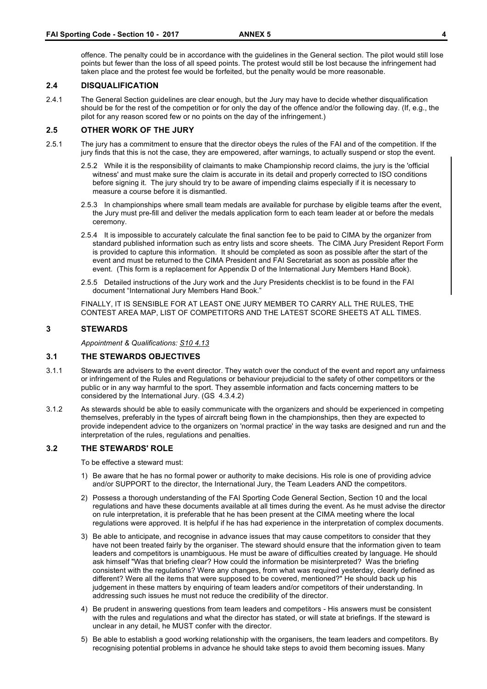offence. The penalty could be in accordance with the guidelines in the General section. The pilot would still lose points but fewer than the loss of all speed points. The protest would still be lost because the infringement had taken place and the protest fee would be forfeited, but the penalty would be more reasonable.

#### **2.4 DISQUALIFICATION**

2.4.1 The General Section guidelines are clear enough, but the Jury may have to decide whether disqualification should be for the rest of the competition or for only the day of the offence and/or the following day. (If, e.g., the pilot for any reason scored few or no points on the day of the infringement.)

### **2.5 OTHER WORK OF THE JURY**

- 2.5.1 The jury has a commitment to ensure that the director obeys the rules of the FAI and of the competition. If the jury finds that this is not the case, they are empowered, after warnings, to actually suspend or stop the event.
	- 2.5.2 While it is the responsibility of claimants to make Championship record claims, the jury is the 'official witness' and must make sure the claim is accurate in its detail and properly corrected to ISO conditions before signing it. The jury should try to be aware of impending claims especially if it is necessary to measure a course before it is dismantled.
	- 2.5.3 In championships where small team medals are available for purchase by eligible teams after the event, the Jury must pre-fill and deliver the medals application form to each team leader at or before the medals ceremony.
	- 2.5.4 It is impossible to accurately calculate the final sanction fee to be paid to CIMA by the organizer from standard published information such as entry lists and score sheets. The CIMA Jury President Report Form is provided to capture this information. It should be completed as soon as possible after the start of the event and must be returned to the CIMA President and FAI Secretariat as soon as possible after the event. (This form is a replacement for Appendix D of the International Jury Members Hand Book).
	- 2.5.5 Detailed instructions of the Jury work and the Jury Presidents checklist is to be found in the FAI document "International Jury Members Hand Book."

FINALLY, IT IS SENSIBLE FOR AT LEAST ONE JURY MEMBER TO CARRY ALL THE RULES, THE CONTEST AREA MAP, LIST OF COMPETITORS AND THE LATEST SCORE SHEETS AT ALL TIMES.

#### **3 STEWARDS**

*Appointment & Qualifications: S10 4.13*

#### **3.1 THE STEWARDS OBJECTIVES**

- 3.1.1 Stewards are advisers to the event director. They watch over the conduct of the event and report any unfairness or infringement of the Rules and Regulations or behaviour prejudicial to the safety of other competitors or the public or in any way harmful to the sport. They assemble information and facts concerning matters to be considered by the International Jury. (GS 4.3.4.2)
- 3.1.2 As stewards should be able to easily communicate with the organizers and should be experienced in competing themselves, preferably in the types of aircraft being flown in the championships, then they are expected to provide independent advice to the organizers on 'normal practice' in the way tasks are designed and run and the interpretation of the rules, regulations and penalties.

#### **3.2 THE STEWARDS' ROLE**

To be effective a steward must:

- 1) Be aware that he has no formal power or authority to make decisions. His role is one of providing advice and/or SUPPORT to the director, the International Jury, the Team Leaders AND the competitors.
- 2) Possess a thorough understanding of the FAI Sporting Code General Section, Section 10 and the local regulations and have these documents available at all times during the event. As he must advise the director on rule interpretation, it is preferable that he has been present at the CIMA meeting where the local regulations were approved. It is helpful if he has had experience in the interpretation of complex documents.
- 3) Be able to anticipate, and recognise in advance issues that may cause competitors to consider that they have not been treated fairly by the organiser. The steward should ensure that the information given to team leaders and competitors is unambiguous. He must be aware of difficulties created by language. He should ask himself "Was that briefing clear? How could the information be misinterpreted? Was the briefing consistent with the regulations? Were any changes, from what was required yesterday, clearly defined as different? Were all the items that were supposed to be covered, mentioned?" He should back up his judgement in these matters by enquiring of team leaders and/or competitors of their understanding. In addressing such issues he must not reduce the credibility of the director.
- 4) Be prudent in answering questions from team leaders and competitors His answers must be consistent with the rules and regulations and what the director has stated, or will state at briefings. If the steward is unclear in any detail, he MUST confer with the director.
- 5) Be able to establish a good working relationship with the organisers, the team leaders and competitors. By recognising potential problems in advance he should take steps to avoid them becoming issues. Many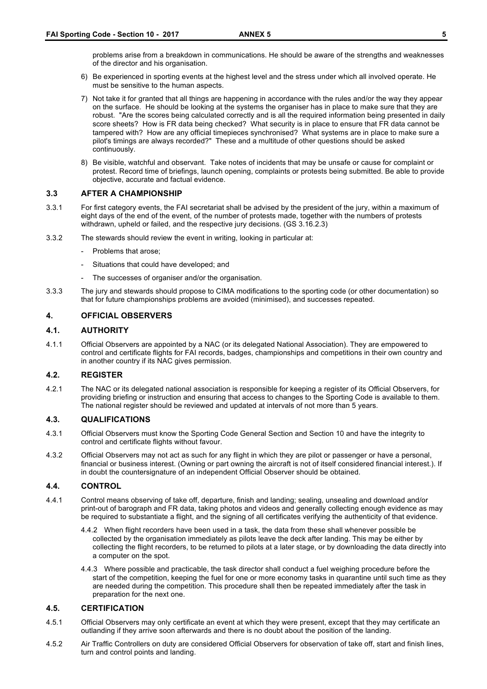problems arise from a breakdown in communications. He should be aware of the strengths and weaknesses of the director and his organisation.

- 6) Be experienced in sporting events at the highest level and the stress under which all involved operate. He must be sensitive to the human aspects.
- 7) Not take it for granted that all things are happening in accordance with the rules and/or the way they appear on the surface. He should be looking at the systems the organiser has in place to make sure that they are robust. "Are the scores being calculated correctly and is all the required information being presented in daily score sheets? How is FR data being checked? What security is in place to ensure that FR data cannot be tampered with? How are any official timepieces synchronised? What systems are in place to make sure a pilot's timings are always recorded?" These and a multitude of other questions should be asked continuously.
- 8) Be visible, watchful and observant. Take notes of incidents that may be unsafe or cause for complaint or protest. Record time of briefings, launch opening, complaints or protests being submitted. Be able to provide objective, accurate and factual evidence.

#### **3.3 AFTER A CHAMPIONSHIP**

- 3.3.1 For first category events, the FAI secretariat shall be advised by the president of the jury, within a maximum of eight days of the end of the event, of the number of protests made, together with the numbers of protests withdrawn, upheld or failed, and the respective jury decisions. (GS 3.16.2.3)
- 3.3.2 The stewards should review the event in writing, looking in particular at:
	- Problems that arose:
	- Situations that could have developed; and
	- The successes of organiser and/or the organisation.
- 3.3.3 The jury and stewards should propose to CIMA modifications to the sporting code (or other documentation) so that for future championships problems are avoided (minimised), and successes repeated.

### **4. OFFICIAL OBSERVERS**

#### **4.1. AUTHORITY**

4.1.1 Official Observers are appointed by a NAC (or its delegated National Association). They are empowered to control and certificate flights for FAI records, badges, championships and competitions in their own country and in another country if its NAC gives permission.

#### **4.2. REGISTER**

4.2.1 The NAC or its delegated national association is responsible for keeping a register of its Official Observers, for providing briefing or instruction and ensuring that access to changes to the Sporting Code is available to them. The national register should be reviewed and updated at intervals of not more than 5 years.

#### **4.3. QUALIFICATIONS**

- 4.3.1 Official Observers must know the Sporting Code General Section and Section 10 and have the integrity to control and certificate flights without favour.
- 4.3.2 Official Observers may not act as such for any flight in which they are pilot or passenger or have a personal, financial or business interest. (Owning or part owning the aircraft is not of itself considered financial interest.). If in doubt the countersignature of an independent Official Observer should be obtained.

#### **4.4. CONTROL**

- 4.4.1 Control means observing of take off, departure, finish and landing; sealing, unsealing and download and/or print-out of barograph and FR data, taking photos and videos and generally collecting enough evidence as may be required to substantiate a flight, and the signing of all certificates verifying the authenticity of that evidence.
	- 4.4.2 When flight recorders have been used in a task, the data from these shall whenever possible be collected by the organisation immediately as pilots leave the deck after landing. This may be either by collecting the flight recorders, to be returned to pilots at a later stage, or by downloading the data directly into a computer on the spot.
	- 4.4.3 Where possible and practicable, the task director shall conduct a fuel weighing procedure before the start of the competition, keeping the fuel for one or more economy tasks in quarantine until such time as they are needed during the competition. This procedure shall then be repeated immediately after the task in preparation for the next one.

#### **4.5. CERTIFICATION**

- 4.5.1 Official Observers may only certificate an event at which they were present, except that they may certificate an outlanding if they arrive soon afterwards and there is no doubt about the position of the landing.
- 4.5.2 Air Traffic Controllers on duty are considered Official Observers for observation of take off, start and finish lines, turn and control points and landing.